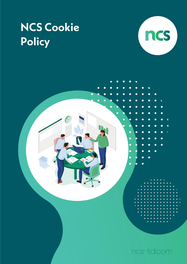# **NCS Cookie** Policy



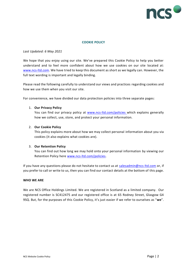

# **COOKIE POLICY**

# *Last Updated: 6 May 2021*

We hope that you enjoy using our site. We've prepared this Cookie Policy to help you better understand and to feel more confident about how we use cookies on our site located at: [www.ncs-ltd.com.](http://www.ncs-ltd.com/) We have tried to keep this document as short as we legally can. However, the full text wording is important and legally binding.

Please read the following carefully to understand our views and practices regarding cookies and how we use them when you visit our site.

For convenience, we have divided our data protection policies into three separate pages:

# 1. **Our Privacy Policy**

You can find our privacy policy at [www.ncs-ltd.com/policies](http://www.ncs-ltd.com/policies) which explains generally how we collect, use, store, and protect your personal information.

#### 2. **Our Cookie Policy**

This policy explains more about how we may collect personal information about you via cookies (it also explains what cookies are).

# 3. **Our Retention Policy**

You can find out how long we may hold onto your personal information by viewing our Retention Policy here [www.ncs-ltd.com/policies.](http://www.ncs-ltd.com/policies)

If you have any questions please do not hesitate to contact us at salesadmin@ncs-Itd.com or, if you prefer to call or write to us, then you can find our contact details at the bottom of this page.

#### **WHO WE ARE**

We are NCS Office Holdings Limited. We are registered in Scotland as a limited company. Our registered number is SC412475 and our registered office is at 65 Rodney Street, Glasgow G4 9SQ. But, for the purposes of this Cookie Policy, it's just easier if we refer to ourselves as "**we**".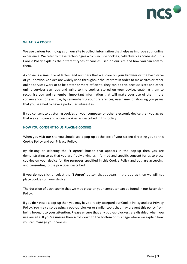

#### **WHAT IS A COOKIE**

We use various technologies on our site to collect information that helps us improve your online experience. We refer to these technologies which include cookies, collectively as "**cookies**". This Cookie Policy explains the different types of cookies used on our site and how you can control them.

A cookie is a small file of letters and numbers that we store on your browser or the hard drive of your device. Cookies are widely used throughout the Internet in order to make sites or other online services work or to be better or more efficient. They can do this because sites and other online services can read and write to the cookies stored on your device, enabling them to recognise you and remember important information that will make your use of them more convenience, for example, by remembering your preferences, username, or showing you pages that you seemed to have a particular interest in.

If you consent to us storing cookies on your computer or other electronic device then you agree that we can store and access cookies as described in this policy.

#### **HOW YOU CONSENT TO US PLACING COOKIES**

When you visit our site you should see a pop-up at the top of your screen directing you to this Cookie Policy and our Privacy Policy.

By clicking or selecting the "**I Agree**" button that appears in the pop-up then you are demonstrating to us that you are freely giving us informed and specific consent for us to place cookies on your device for the purposes specified in this Cookie Policy and you are accepting and consenting to the practices described.

If you **do not** click or select the "**I Agree**" button that appears in the pop-up then we will not place cookies on your device.

The duration of each cookie that we may place on your computer can be found in our Retention Policy.

If you **do not** see a pop-up then you may have already accepted our Cookie Policy and our Privacy Policy. You may also be using a pop-up blocker or similar tools that may prevent this policy from being brought to your attention. Please ensure that any pop-up blockers are disabled when you use our site. If you're unsure then scroll down to the bottom of this page where we explain how you can manage your cookies.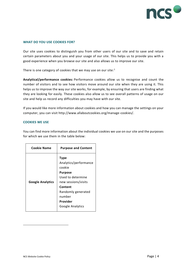

#### **WHAT DO YOU USE COOKIES FOR?**

Our site uses cookies to distinguish you from other users of our site and to save and retain certain parameters about you and your usage of our site. This helps us to provide you with a good experience when you browse our site and also allows us to improve our site.

There is one category of cookies that we may use on our site: $1$ 

**Analytical/performance cookies:** Performance cookies allow us to recognise and count the number of visitors and to see how visitors move around our site when they are using it. This helps us to improve the way our site works, for example, by ensuring that users are finding what they are looking for easily. These cookies also allow us to see overall patterns of usage on our site and help us record any difficulties you may have with our site.

If you would like more information about cookies and how you can manage the settings on your computer, you can visit http://www.allaboutcookies.org/manage-cookies/.

#### **COOKIES WE USE**

You can find more information about the individual cookies we use on our site and the purposes for which we use them in the table below:

| <b>Cookie Name</b>      | <b>Purpose and Content</b>                                                                                                                                                              |
|-------------------------|-----------------------------------------------------------------------------------------------------------------------------------------------------------------------------------------|
| <b>Google Analytics</b> | <b>Type</b><br>Analytics/performance<br>cookie<br><b>Purpose</b><br>Used to determine<br>new sessions/visits<br>Content<br>Randomly generated<br>number<br>Provider<br>Google Analytics |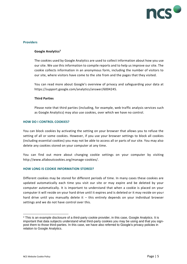

#### **Providers**

# **Google Analytics<sup>2</sup>**

The cookies used by Google Analytics are used to collect information about how you use our site. We use this information to compile reports and to help us improve our site. The cookie collects information in an anonymous form, including the number of visitors to our site, where visitors have come to the site from and the pages that they visited.

You can read more about Google's overview of privacy and safeguarding your data at https://support.google.com/analytics/answer/6004245.

#### **Third Parties**

Please note that third parties (including, for example, web traffic analysis services such as Google Analytics) may also use cookies, over which we have no control.

# **HOW DO I CONTROL COOKIES?**

You can block cookies by activating the setting on your browser that allows you to refuse the setting of all or some cookies. However, if you use your browser settings to block all cookies (including essential cookies) you may not be able to access all or parts of our site. You may also delete any cookies stored on your computer at any time.

You can find out more about changing cookie settings on your computer by visiting http://www.allaboutcookies.org/manage-cookies/.

# **HOW LONG IS COOKIE INFORMATION STORED?**

Different cookies may be stored for different periods of time. In many cases these cookies are updated automatically each time you visit our site or may expire and be deleted by your computer automatically. It is important to understand that when a cookie is placed on your computer it will reside on your hard drive until it expires and is deleted or it may reside on your hard drive until you manually delete it - this entirely depends on your individual browser settings and we do not have control over this.

<sup>&</sup>lt;sup>2</sup> This is an example disclosure of a third-party cookie provider, in this case, Google Analytics. It is important that data subjects understand what third-party cookies you may be using and that you signpost them to those third-parties. In this case, we have also referred to Google's privacy policies in relation to Google Analytics.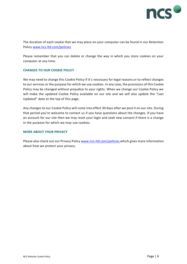

The duration of each cookie that we may place on your computer can be found in our Retention Policy [www.ncs-ltd.com/policies](http://www.ncs-ltd.com/policies)

Please remember that you can delete or change the way in which you store cookies on your computer at any time.

# **CHANGES TO OUR COOKIE POLICY**

We may need to change this Cookie Policy if it's necessary for legal reasons or to reflect changes to our services or the purpose for which we use cookies. In any case, the provisions of this Cookie Policy may be changed without prejudice to your rights. When we change our Cookie Policy we will make the updated Cookie Policy available on our site and we will also update the "Last Updated" date at the top of this page.

Any changes to our Cookie Policy will come into effect 30 days after we post it on our site. During that period you're welcome to contact us if you have questions about the changes. If you have an account for our site then we may reset your login and seek new consent if there is a change in the purpose for which we may use cookies.

#### **MORE ABOUT YOUR PRIVACY**

Please also check out our Privacy Policy [www.ncs-ltd.com/policies](http://www.ncs-ltd.com/policies) which gives more information about how we protect your privacy.